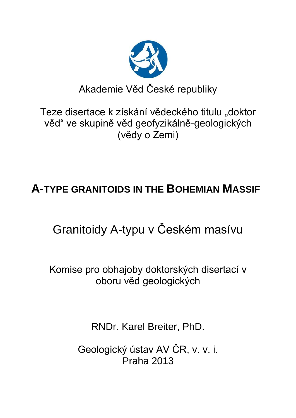

# Teze disertace k získání vědeckého titulu "doktor věd" ve skupině věd geofyzikálně-geologických (vědy o Zemi)

# **A-TYPE GRANITOIDS IN THE BOHEMIAN MASSIF**

Granitoidy A-typu v Českém masívu

Komise pro obhajoby doktorských disertací v oboru věd geologických

RNDr. Karel Breiter, PhD.

Geologický ústav AV ČR, v. v. i. Praha 2013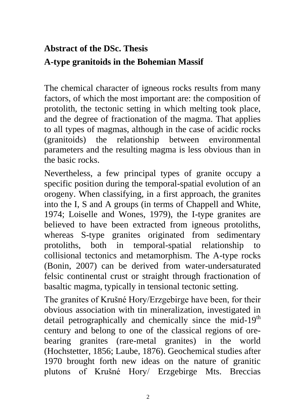# **Abstract of the DSc. Thesis A-type granitoids in the Bohemian Massif**

The chemical character of igneous rocks results from many factors, of which the most important are: the composition of protolith, the tectonic setting in which melting took place, and the degree of fractionation of the magma. That applies to all types of magmas, although in the case of acidic rocks (granitoids) the relationship between environmental parameters and the resulting magma is less obvious than in the basic rocks.

Nevertheless, a few principal types of granite occupy a specific position during the temporal-spatial evolution of an orogeny. When classifying, in a first approach, the granites into the I, S and A groups (in terms of Chappell and White, 1974; Loiselle and Wones, 1979), the I-type granites are believed to have been extracted from igneous protoliths, whereas S-type granites originated from sedimentary protoliths, both in temporal-spatial relationship to collisional tectonics and metamorphism. The A-type rocks (Bonin, 2007) can be derived from water-undersaturated felsic continental crust or straight through fractionation of basaltic magma, typically in tensional tectonic setting.

The granites of Krušné Hory/Erzgebirge have been, for their obvious association with tin mineralization, investigated in detail petrographically and chemically since the mid-19<sup>th</sup> century and belong to one of the classical regions of orebearing granites (rare-metal granites) in the world (Hochstetter, 1856; Laube, 1876). Geochemical studies after 1970 brought forth new ideas on the nature of granitic plutons of Krušné Hory/ Erzgebirge Mts. Breccias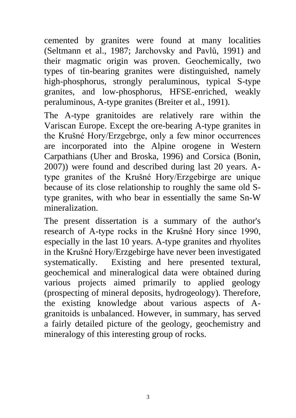cemented by granites were found at many localities (Seltmann et al., 1987; Jarchovsky and Pavlů, 1991) and their magmatic origin was proven. Geochemically, two types of tin-bearing granites were distinguished, namely high-phosphorus, strongly peraluminous, typical S-type granites, and low-phosphorus, HFSE-enriched, weakly peraluminous, A-type granites (Breiter et al., 1991).

The A-type granitoides are relatively rare within the Variscan Europe. Except the ore-bearing A-type granites in the Krušné Hory/Erzgebrge, only a few minor occurrences are incorporated into the Alpine orogene in Western Carpathians (Uher and Broska, 1996) and Corsica (Bonin, 2007)) were found and described during last 20 years. Atype granites of the Krušné Hory/Erzgebirge are unique because of its close relationship to roughly the same old Stype granites, with who bear in essentially the same Sn-W mineralization.

The present dissertation is a summary of the author's research of A-type rocks in the Krušné Hory since 1990, especially in the last 10 years. A-type granites and rhyolites in the Krušné Hory/Erzgebirge have never been investigated systematically. Existing and here presented textural, geochemical and mineralogical data were obtained during various projects aimed primarily to applied geology (prospecting of mineral deposits, hydrogeology). Therefore, the existing knowledge about various aspects of Agranitoids is unbalanced. However, in summary, has served a fairly detailed picture of the geology, geochemistry and mineralogy of this interesting group of rocks.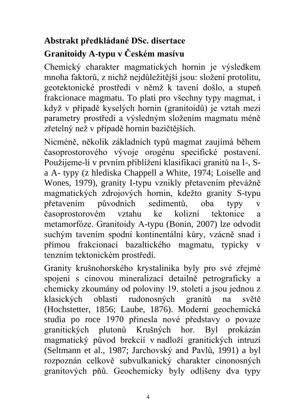# **Abstrakt předkládané DSc. disertace Granitoidy A-typu v Českém masívu**

Chemický charakter magmatických hornin je výsledkem mnoha faktorů, z nichž nejdůležitější jsou: složení protolitu, geotektonické prostředí v němž k tavení došlo, a stupeň frakcionace magmatu. To platí pro všechny typy magmat, i když v případě kyselých hornin (granitoidů) je vztah mezi parametry prostředí a výsledným složením magmatu méně zřetelný než v případě hornin bazičtějších.

Nicméně, několik základních typů magmat zaujímá během časoprostorového vývoje orogénu specifické postavení. Použijeme-li v prvním přiblížení klasifikaci granitů na I-, Sa A- typy (z hlediska Chappell a White, 1974; Loiselle and Wones, 1979), granity I-typu vznikly přetavením převážně magmatických zdrojových hornin, kdežto granity S-typu přetavením původních sedimentů, oba typy v časoprostorovém vztahu ke kolizní tektonice a metamorfóze. Granitoidy A-typu (Bonin, 2007) lze odvodit suchým tavením spodní kontinentální kůry, vzácně snad i přímou frakcionací bazaltického magmatu, typicky v tenzním tektonickém prostředí.

Granity krušnohorského krystalinika byly pro své zřejmé spojení s cínovou mineralizací detailně petrograficky a chemicky zkoumány od poloviny 19. století a jsou jednou z klasických oblastí rudonosných granitů na světě (Hochstetter, 1856; Laube, 1876). Moderní geochemická studia po roce 1970 přinesla nové představy o povaze granitických plutonů Krušných hor. Byl prokázán magmatický původ brekcií v nadloží granitických intruzí (Seltmann et al., 1987; Jarchovský and Pavlů, 1991) a byl rozpoznán celkově subvulkanický charakter cínonosných granitových pňů. Geochemicky byly odlišeny dva typy

4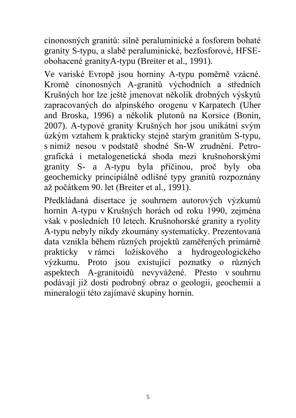cínonosných granitů: silně peraluminické a fosforem bohaté granity S-typu, a slabě peraluminické, bezfosforové, HFSEobohacené granityA-typu (Breiter et al., 1991).

Ve variské Evropě jsou horniny A-typu poměrně vzácné. Kromě cínonosných A-granitů východních a středních Krušných hor lze ještě jmenovat několik drobných výskytů zapracovaných do alpínského orogenu v Karpatech (Uher and Broska, 1996) a několik plutonů na Korsice (Bonin, 2007). A-typové granity Krušných hor jsou unikátní svým úzkým vztahem k prakticky stejně starým granitům S-typu, s nimiž nesou v podstatě shodné Sn-W zrudnění. Petrografická i metalogenetická shoda mezi krušnohorskými granity S- a A-typu byla příčinou, proč byly oba geochemicky principiálně odlišné typy granitů rozpoznány až počátkem 90. let (Breiter et al., 1991).

Předkládaná disertace je souhrnem autorových výzkumů hornin A-typu v Krušných horách od roku 1990, zejména však v posledních 10 letech. Krušnohorské granity a ryolity A-typu nebyly nikdy zkoumány systematicky. Prezentovaná data vznikla během různých projektů zaměřených primárně prakticky v rámci ložiskového a hydrogeologického výzkumu. Proto jsou existující poznatky o různých aspektech A-granitoidů nevyvážené. Přesto v souhrnu podávají již dosti podrobný obraz o geologii, geochemii a mineralogii této zajímavé skupiny hornin.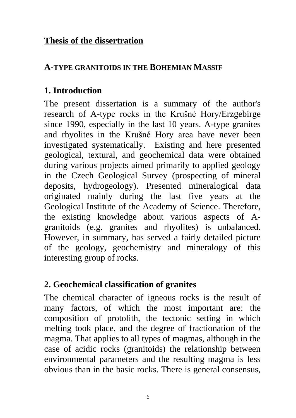# **Thesis of the dissertration**

# **A-TYPE GRANITOIDS IN THE BOHEMIAN MASSIF**

# **1. Introduction**

The present dissertation is a summary of the author's research of A-type rocks in the Krušné Hory/Erzgebirge since 1990, especially in the last 10 years. A-type granites and rhyolites in the Krušné Hory area have never been investigated systematically. Existing and here presented geological, textural, and geochemical data were obtained during various projects aimed primarily to applied geology in the Czech Geological Survey (prospecting of mineral deposits, hydrogeology). Presented mineralogical data originated mainly during the last five years at the Geological Institute of the Academy of Science. Therefore, the existing knowledge about various aspects of Agranitoids (e.g. granites and rhyolites) is unbalanced. However, in summary, has served a fairly detailed picture of the geology, geochemistry and mineralogy of this interesting group of rocks.

# **2. Geochemical classification of granites**

The chemical character of igneous rocks is the result of many factors, of which the most important are: the composition of protolith, the tectonic setting in which melting took place, and the degree of fractionation of the magma. That applies to all types of magmas, although in the case of acidic rocks (granitoids) the relationship between environmental parameters and the resulting magma is less obvious than in the basic rocks. There is general consensus,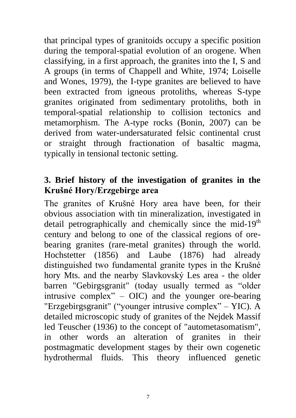that principal types of granitoids occupy a specific position during the temporal-spatial evolution of an orogene. When classifying, in a first approach, the granites into the I, S and A groups (in terms of Chappell and White, 1974; Loiselle and Wones, 1979), the I-type granites are believed to have been extracted from igneous protoliths, whereas S-type granites originated from sedimentary protoliths, both in temporal-spatial relationship to collision tectonics and metamorphism. The A-type rocks (Bonin, 2007) can be derived from water-undersaturated felsic continental crust or straight through fractionation of basaltic magma, typically in tensional tectonic setting.

#### **3. Brief history of the investigation of granites in the Krušné Hory/Erzgebirge area**

The granites of Krušné Hory area have been, for their obvious association with tin mineralization, investigated in detail petrographically and chemically since the mid-19<sup>th</sup> century and belong to one of the classical regions of orebearing granites (rare-metal granites) through the world. Hochstetter (1856) and Laube (1876) had already distinguished two fundamental granite types in the Krušné hory Mts. and the nearby Slavkovský Les area - the older barren "Gebirgsgranit" (today usually termed as "older intrusive complex" – OIC) and the younger ore-bearing "Erzgebirgsgranit" ("younger intrusive complex" – YIC). A detailed microscopic study of granites of the Nejdek Massif led Teuscher (1936) to the concept of "autometasomatism", in other words an alteration of granites in their postmagmatic development stages by their own cogenetic hydrothermal fluids. This theory influenced genetic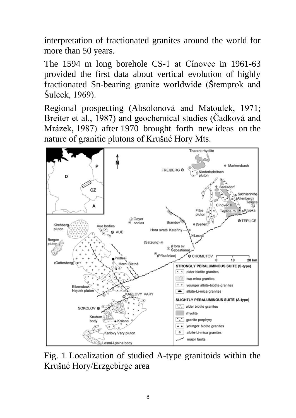interpretation of fractionated granites around the world for more than 50 years.

The 1594 m long borehole CS-1 at Cínovec in 1961-63 provided the first data about vertical evolution of highly fractionated Sn-bearing granite worldwide (Štemprok and Šulcek, 1969).

Regional prospecting (Absolonová and Matoulek, 1971; Breiter et al., 1987) and geochemical studies (Čadková and Mrázek, 1987) after 1970 brought forth new ideas on the nature of granitic plutons of Krušné Hory Mts.



Fig. 1 Localization of studied A-type granitoids within the Krušné Hory/Erzgebirge area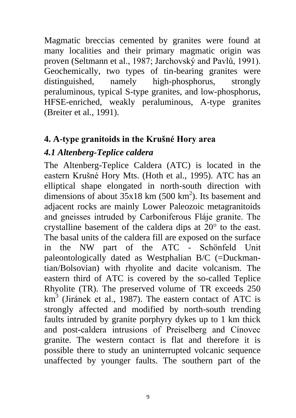Magmatic breccias cemented by granites were found at many localities and their primary magmatic origin was proven (Seltmann et al., 1987; Jarchovský and Pavlů, 1991). Geochemically, two types of tin-bearing granites were distinguished, namely high-phosphorus, strongly peraluminous, typical S-type granites, and low-phosphorus, HFSE-enriched, weakly peraluminous, A-type granites (Breiter et al., 1991).

#### **4. A-type granitoids in the Krušné Hory area**

#### *4.1 Altenberg-Teplice caldera*

The Altenberg-Teplice Caldera (ATC) is located in the eastern Krušné Hory Mts. (Hoth et al., 1995). ATC has an elliptical shape elongated in north-south direction with dimensions of about  $35x18 \text{ km}$  (500 km<sup>2</sup>). Its basement and adjacent rocks are mainly Lower Paleozoic metagranitoids and gneisses intruded by Carboniferous Fláje granite. The crystalline basement of the caldera dips at 20° to the east. The basal units of the caldera fill are exposed on the surface in the NW part of the ATC - Schönfeld Unit paleontologically dated as Westphalian B/C (=Duckmantian/Bolsovian) with rhyolite and dacite volcanism. The eastern third of ATC is covered by the so-called Teplice Rhyolite (TR). The preserved volume of TR exceeds 250  $km^3$  (Jiránek et al., 1987). The eastern contact of ATC is strongly affected and modified by north-south trending faults intruded by granite porphyry dykes up to 1 km thick and post-caldera intrusions of Preiselberg and Cínovec granite. The western contact is flat and therefore it is possible there to study an uninterrupted volcanic sequence unaffected by younger faults. The southern part of the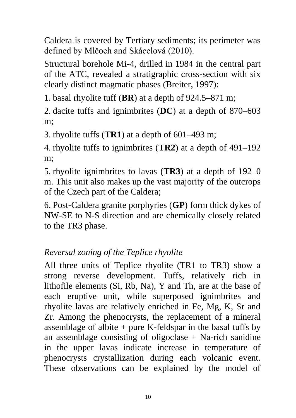Caldera is covered by Tertiary sediments; its perimeter was defined by Mlčoch and Skácelová (2010).

Structural borehole Mi-4, drilled in 1984 in the central part of the ATC, revealed a stratigraphic cross-section with six clearly distinct magmatic phases (Breiter, 1997):

1. basal rhyolite tuff (**BR**) at a depth of 924.5–871 m;

2. dacite tuffs and ignimbrites (**DC**) at a depth of 870–603 m;

3. rhyolite tuffs (**TR1**) at a depth of 601–493 m;

4. rhyolite tuffs to ignimbrites (**TR2**) at a depth of 491–192 m;

5. rhyolite ignimbrites to lavas (**TR3**) at a depth of 192–0 m. This unit also makes up the vast majority of the outcrops of the Czech part of the Caldera;

6. Post-Caldera granite porphyries (**GP**) form thick dykes of NW-SE to N-S direction and are chemically closely related to the TR3 phase.

#### *Reversal zoning of the Teplice rhyolite*

All three units of Teplice rhyolite (TR1 to TR3) show a strong reverse development. Tuffs, relatively rich in lithofile elements (Si, Rb, Na), Y and Th, are at the base of each eruptive unit, while superposed ignimbrites and rhyolite lavas are relatively enriched in Fe, Mg, K, Sr and Zr. Among the phenocrysts, the replacement of a mineral assemblage of albite  $+$  pure K-feldspar in the basal tuffs by an assemblage consisting of oligoclase  $+$  Na-rich sanidine in the upper lavas indicate increase in temperature of phenocrysts crystallization during each volcanic event. These observations can be explained by the model of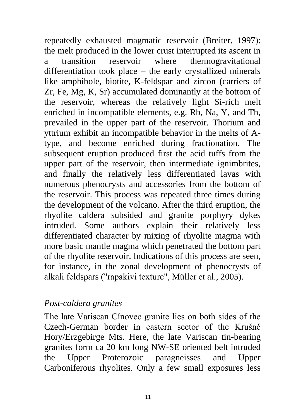repeatedly exhausted magmatic reservoir (Breiter, 1997): the melt produced in the lower crust interrupted its ascent in a transition reservoir where thermogravitational differentiation took place – the early crystallized minerals like amphibole, biotite, K-feldspar and zircon (carriers of Zr, Fe, Mg, K, Sr) accumulated dominantly at the bottom of the reservoir, whereas the relatively light Si-rich melt enriched in incompatible elements, e.g. Rb, Na, Y, and Th, prevailed in the upper part of the reservoir. Thorium and yttrium exhibit an incompatible behavior in the melts of Atype, and become enriched during fractionation. The subsequent eruption produced first the acid tuffs from the upper part of the reservoir, then intermediate ignimbrites, and finally the relatively less differentiated lavas with numerous phenocrysts and accessories from the bottom of the reservoir. This process was repeated three times during the development of the volcano. After the third eruption, the rhyolite caldera subsided and granite porphyry dykes intruded. Some authors explain their relatively less differentiated character by mixing of rhyolite magma with more basic mantle magma which penetrated the bottom part of the rhyolite reservoir. Indications of this process are seen, for instance, in the zonal development of phenocrysts of alkali feldspars ("rapakivi texture", Müller et al., 2005).

#### *Post-caldera granites*

The late Variscan Cínovec granite lies on both sides of the Czech-German border in eastern sector of the Krušné Hory/Erzgebirge Mts. Here, the late Variscan tin-bearing granites form ca 20 km long NW-SE oriented belt intruded the Upper Proterozoic paragneisses and Upper Carboniferous rhyolites. Only a few small exposures less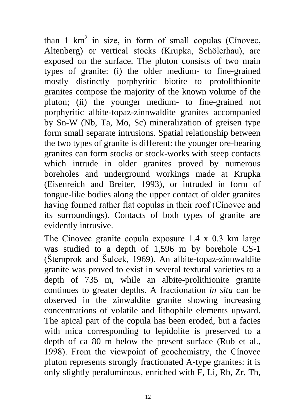than 1  $km^2$  in size, in form of small copulas (Cínovec, Altenberg) or vertical stocks (Krupka, Schölerhau), are exposed on the surface. The pluton consists of two main types of granite: (i) the older medium- to fine-grained mostly distinctly porphyritic biotite to protolithionite granites compose the majority of the known volume of the pluton; (ii) the younger medium- to fine-grained not porphyritic albite-topaz-zinnwaldite granites accompanied by Sn-W (Nb, Ta, Mo, Sc) mineralization of greisen type form small separate intrusions. Spatial relationship between the two types of granite is different: the younger ore-bearing granites can form stocks or stock-works with steep contacts which intrude in older granites proved by numerous boreholes and underground workings made at Krupka (Eisenreich and Breiter, 1993), or intruded in form of tongue-like bodies along the upper contact of older granites having formed rather flat copulas in their roof (Cínovec and its surroundings). Contacts of both types of granite are evidently intrusive.

The Cínovec granite copula exposure 1.4 x 0.3 km large was studied to a depth of 1,596 m by borehole CS-1 (Štemprok and Šulcek, 1969). An albite-topaz-zinnwaldite granite was proved to exist in several textural varieties to a depth of 735 m, while an albite-prolithionite granite continues to greater depths. A fractionation *in situ* can be observed in the zinwaldite granite showing increasing concentrations of volatile and lithophile elements upward. The apical part of the copula has been eroded, but a facies with mica corresponding to lepidolite is preserved to a depth of ca 80 m below the present surface (Rub et al., 1998). From the viewpoint of geochemistry, the Cínovec pluton represents strongly fractionated A-type granites: it is only slightly peraluminous, enriched with F, Li, Rb, Zr, Th,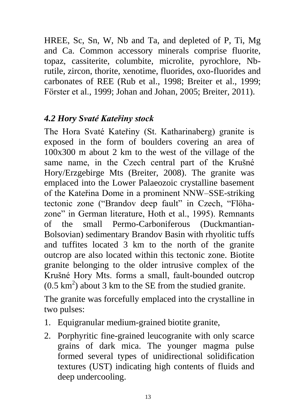HREE, Sc, Sn, W, Nb and Ta, and depleted of P, Ti, Mg and Ca. Common accessory minerals comprise fluorite, topaz, cassiterite, columbite, microlite, pyrochlore, Nbrutile, zircon, thorite, xenotime, fluorides, oxo-fluorides and carbonates of REE (Rub et al., 1998; Breiter et al., 1999; Förster et al., 1999; Johan and Johan, 2005; Breiter, 2011).

#### *4.2 Hory Svaté Kateřiny stock*

The Hora Svaté Kateřiny (St. Katharinaberg) granite is exposed in the form of boulders covering an area of 100x300 m about 2 km to the west of the village of the same name, in the Czech central part of the Krušné Hory/Erzgebirge Mts (Breiter, 2008). The granite was emplaced into the Lower Palaeozoic crystalline basement of the Kateřina Dome in a prominent NNW–SSE-striking tectonic zone ("Brandov deep fault" in Czech, "Flöhazone" in German literature, Hoth et al., 1995). Remnants of the small Permo-Carboniferous (Duckmantian-Bolsovian) sedimentary Brandov Basin with rhyolitic tuffs and tuffites located 3 km to the north of the granite outcrop are also located within this tectonic zone. Biotite granite belonging to the older intrusive complex of the Krušné Hory Mts. forms a small, fault-bounded outcrop  $(0.5 \text{ km}^2)$  about 3 km to the SE from the studied granite.

The granite was forcefully emplaced into the crystalline in two pulses:

- 1. Equigranular medium-grained biotite granite,
- 2. Porphyritic fine-grained leucogranite with only scarce grains of dark mica. The younger magma pulse formed several types of unidirectional solidification textures (UST) indicating high contents of fluids and deep undercooling.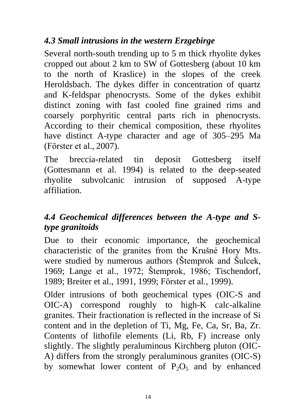#### *4.3 Small intrusions in the western Erzgebirge*

Several north-south trending up to 5 m thick rhyolite dykes cropped out about 2 km to SW of Gottesberg (about 10 km to the north of Kraslice) in the slopes of the creek Heroldsbach. The dykes differ in concentration of quartz and K-feldspar phenocrysts. Some of the dykes exhibit distinct zoning with fast cooled fine grained rims and coarsely porphyritic central parts rich in phenocrysts. According to their chemical composition, these rhyolites have distinct A-type character and age of 305–295 Ma (Förster et al., 2007).

The breccia-related tin deposit Gottesberg itself (Gottesmann et al. 1994) is related to the deep-seated rhyolite subvolcanic intrusion of supposed A-type affiliation.

# *4.4 Geochemical differences between the A-type and Stype granitoids*

Due to their economic importance, the geochemical characteristic of the granites from the Krušné Hory Mts. were studied by numerous authors (Štemprok and Šulcek, 1969; Lange et al., 1972; Štemprok, 1986; Tischendorf, 1989; Breiter et al., 1991, 1999; Förster et al., 1999).

Older intrusions of both geochemical types (OIC-S and OIC-A) correspond roughly to high-K calc-alkaline granites. Their fractionation is reflected in the increase of Si content and in the depletion of Ti, Mg, Fe, Ca, Sr, Ba, Zr. Contents of lithofile elements (Li, Rb, F) increase only slightly. The slightly peraluminous Kirchberg pluton (OIC-A) differs from the strongly peraluminous granites (OIC-S) by somewhat lower content of  $P_2O_5$  and by enhanced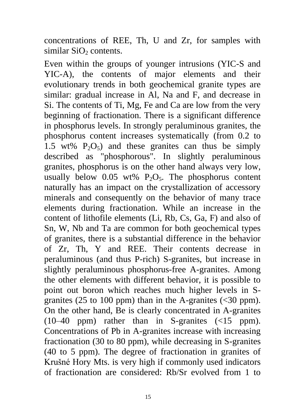concentrations of REE, Th, U and Zr, for samples with similar  $SiO<sub>2</sub>$  contents.

Even within the groups of younger intrusions (YIC-S and YIC-A), the contents of major elements and their evolutionary trends in both geochemical granite types are similar: gradual increase in Al, Na and F, and decrease in Si. The contents of Ti, Mg, Fe and Ca are low from the very beginning of fractionation. There is a significant difference in phosphorus levels. In strongly peraluminous granites, the phosphorus content increases systematically (from 0.2 to 1.5 wt%  $P_2O_5$  and these granites can thus be simply described as "phosphorous". In slightly peraluminous granites, phosphorus is on the other hand always very low, usually below 0.05 wt%  $P_2O_5$ . The phosphorus content naturally has an impact on the crystallization of accessory minerals and consequently on the behavior of many trace elements during fractionation. While an increase in the content of lithofile elements (Li, Rb, Cs, Ga, F) and also of Sn, W, Nb and Ta are common for both geochemical types of granites, there is a substantial difference in the behavior of Zr, Th, Y and REE. Their contents decrease in peraluminous (and thus P-rich) S-granites, but increase in slightly peraluminous phosphorus-free A-granites. Among the other elements with different behavior, it is possible to point out boron which reaches much higher levels in Sgranites (25 to 100 ppm) than in the A-granites  $( $30$  ppm).$ On the other hand, Be is clearly concentrated in A-granites (10–40 ppm) rather than in S-granites (<15 ppm). Concentrations of Pb in A-granites increase with increasing fractionation (30 to 80 ppm), while decreasing in S-granites (40 to 5 ppm). The degree of fractionation in granites of Krušné Hory Mts. is very high if commonly used indicators of fractionation are considered: Rb/Sr evolved from 1 to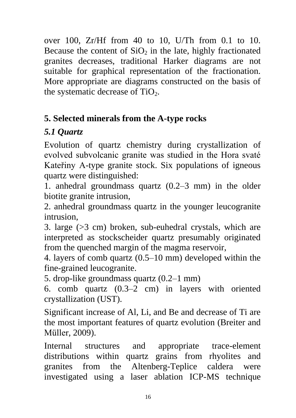over 100, Zr/Hf from 40 to 10, U/Th from 0.1 to 10. Because the content of  $SiO<sub>2</sub>$  in the late, highly fractionated granites decreases, traditional Harker diagrams are not suitable for graphical representation of the fractionation. More appropriate are diagrams constructed on the basis of the systematic decrease of TiO<sub>2</sub>.

# **5. Selected minerals from the A-type rocks**

# *5.1 Quartz*

Evolution of quartz chemistry during crystallization of evolved subvolcanic granite was studied in the Hora svaté Kateřiny A-type granite stock. Six populations of igneous quartz were distinguished:

1. anhedral groundmass quartz (0.2–3 mm) in the older biotite granite intrusion,

2. anhedral groundmass quartz in the younger leucogranite intrusion,

3. large (>3 cm) broken, sub-euhedral crystals, which are interpreted as stockscheider quartz presumably originated from the quenched margin of the magma reservoir,

4. layers of comb quartz (0.5–10 mm) developed within the fine-grained leucogranite.

5. drop-like groundmass quartz (0.2–1 mm)

6. comb quartz (0.3–2 cm) in layers with oriented crystallization (UST).

Significant increase of Al, Li, and Be and decrease of Ti are the most important features of quartz evolution (Breiter and Müller, 2009).

Internal structures and appropriate trace-element distributions within quartz grains from rhyolites and granites from the Altenberg-Teplice caldera were investigated using a laser ablation ICP-MS technique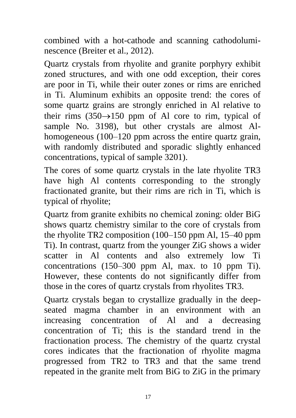combined with a hot-cathode and scanning cathodoluminescence (Breiter et al., 2012).

Quartz crystals from rhyolite and granite porphyry exhibit zoned structures, and with one odd exception, their cores are poor in Ti, while their outer zones or rims are enriched in Ti. Aluminum exhibits an opposite trend: the cores of some quartz grains are strongly enriched in Al relative to their rims  $(350\rightarrow 150$  ppm of Al core to rim, typical of sample No. 3198), but other crystals are almost Alhomogeneous (100–120 ppm across the entire quartz grain, with randomly distributed and sporadic slightly enhanced concentrations, typical of sample 3201).

The cores of some quartz crystals in the late rhyolite TR3 have high Al contents corresponding to the strongly fractionated granite, but their rims are rich in Ti, which is typical of rhyolite;

Quartz from granite exhibits no chemical zoning: older BiG shows quartz chemistry similar to the core of crystals from the rhyolite TR2 composition (100–150 ppm Al, 15–40 ppm Ti). In contrast, quartz from the younger ZiG shows a wider scatter in Al contents and also extremely low Ti concentrations (150–300 ppm Al, max. to 10 ppm Ti). However, these contents do not significantly differ from those in the cores of quartz crystals from rhyolites TR3.

Quartz crystals began to crystallize gradually in the deepseated magma chamber in an environment with an increasing concentration of Al and a decreasing concentration of Ti; this is the standard trend in the fractionation process. The chemistry of the quartz crystal cores indicates that the fractionation of rhyolite magma progressed from TR2 to TR3 and that the same trend repeated in the granite melt from BiG to ZiG in the primary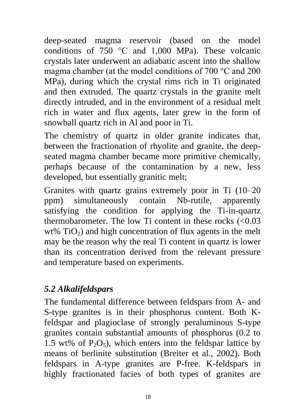deep-seated magma reservoir (based on the model conditions of 750 °C and 1,000 MPa). These volcanic crystals later underwent an adiabatic ascent into the shallow magma chamber (at the model conditions of 700 °C and 200 MPa), during which the crystal rims rich in Ti originated and then extruded. The quartz crystals in the granite melt directly intruded, and in the environment of a residual melt rich in water and flux agents, later grew in the form of snowball quartz rich in Al and poor in Ti.

The chemistry of quartz in older granite indicates that, between the fractionation of rhyolite and granite, the deepseated magma chamber became more primitive chemically, perhaps because of the contamination by a new, less developed, but essentially granitic melt;

Granites with quartz grains extremely poor in Ti (10–20 ppm) simultaneously contain Nb-rutile, apparently satisfying the condition for applying the Ti-in-quartz thermobarometer. The low Ti content in these rocks  $\langle$  <0.03 wt%  $TiO<sub>2</sub>$ ) and high concentration of flux agents in the melt may be the reason why the real Ti content in quartz is lower than its concentration derived from the relevant pressure and temperature based on experiments.

# *5.2 Alkalifeldspars*

The fundamental difference between feldspars from A- and S-type granites is in their phosphorus content. Both Kfeldspar and plagioclase of strongly peraluminous S-type granites contain substantial amounts of phosphorus (0.2 to 1.5 wt% of  $P_2O_5$ ), which enters into the feldspar lattice by means of berlinite substitution (Breiter et al., 2002). Both feldspars in A-type granites are P-free. K-feldspars in highly fractionated facies of both types of granites are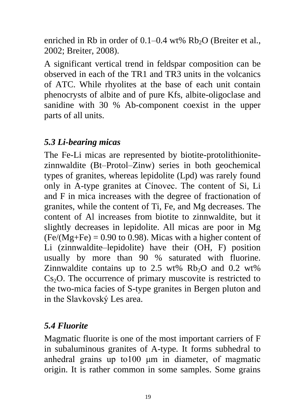enriched in Rb in order of  $0.1-0.4$  wt% Rb<sub>2</sub>O (Breiter et al., 2002; Breiter, 2008).

A significant vertical trend in feldspar composition can be observed in each of the TR1 and TR3 units in the volcanics of ATC. While rhyolites at the base of each unit contain phenocrysts of albite and of pure Kfs, albite-oligoclase and sanidine with 30 % Ab-component coexist in the upper parts of all units.

#### *5.3 Li-bearing micas*

The Fe-Li micas are represented by biotite-protolithionitezinnwaldite (Bt–Protol–Zinw) series in both geochemical types of granites, whereas lepidolite (Lpd) was rarely found only in A-type granites at Cínovec. The content of Si, Li and F in mica increases with the degree of fractionation of granites, while the content of Ti, Fe, and Mg decreases. The content of Al increases from biotite to zinnwaldite, but it slightly decreases in lepidolite. All micas are poor in Mg  $(Fe/(Mg + Fe) = 0.90$  to 0.98). Micas with a higher content of Li (zinnwaldite–lepidolite) have their (OH, F) position usually by more than 90 % saturated with fluorine. Zinnwaldite contains up to 2.5 wt%  $Rb_2O$  and 0.2 wt%  $Cs<sub>2</sub>O$ . The occurrence of primary muscovite is restricted to the two-mica facies of S-type granites in Bergen pluton and in the Slavkovský Les area.

#### *5.4 Fluorite*

Magmatic fluorite is one of the most important carriers of F in subaluminous granites of A-type. It forms subhedral to anhedral grains up to100 μm in diameter, of magmatic origin. It is rather common in some samples. Some grains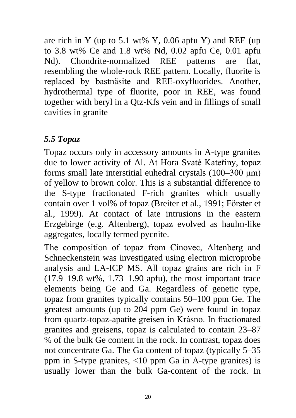are rich in Y (up to 5.1 wt% Y, 0.06 apfu Y) and REE (up to 3.8 wt% Ce and 1.8 wt% Nd, 0.02 apfu Ce, 0.01 apfu Nd). Chondrite-normalized REE patterns are flat, resembling the whole-rock REE pattern. Locally, fluorite is replaced by bastnäsite and REE-oxyfluorides. Another, hydrothermal type of fluorite, poor in REE, was found together with beryl in a Qtz-Kfs vein and in fillings of small cavities in granite

# *5.5 Topaz*

Topaz occurs only in accessory amounts in A-type granites due to lower activity of Al. At Hora Svaté Kateřiny, topaz forms small late interstitial euhedral crystals (100–300 μm) of yellow to brown color. This is a substantial difference to the S-type fractionated F-rich granites which usually contain over 1 vol% of topaz (Breiter et al., 1991; Förster et al., 1999). At contact of late intrusions in the eastern Erzgebirge (e.g. Altenberg), topaz evolved as haulm-like aggregates, locally termed pycnite.

The composition of topaz from Cínovec, Altenberg and Schneckenstein was investigated using electron microprobe analysis and LA-ICP MS. All topaz grains are rich in F (17.9–19.8 wt%, 1.73–1.90 apfu), the most important trace elements being Ge and Ga. Regardless of genetic type, topaz from granites typically contains 50–100 ppm Ge. The greatest amounts (up to 204 ppm Ge) were found in topaz from quartz-topaz-apatite greisen in Krásno. In fractionated granites and greisens, topaz is calculated to contain 23–87 % of the bulk Ge content in the rock. In contrast, topaz does not concentrate Ga. The Ga content of topaz (typically 5–35 ppm in S-type granites, <10 ppm Ga in A-type granites) is usually lower than the bulk Ga-content of the rock. In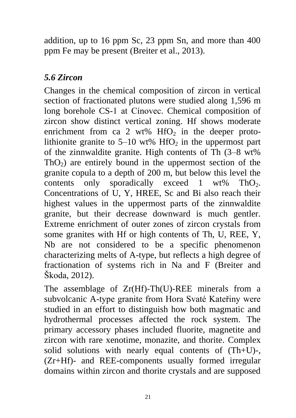addition, up to 16 ppm Sc, 23 ppm Sn, and more than 400 ppm Fe may be present (Breiter et al., 2013).

# *5.6 Zircon*

Changes in the chemical composition of zircon in vertical section of fractionated plutons were studied along 1,596 m long borehole CS-1 at Cínovec. Chemical composition of zircon show distinct vertical zoning. Hf shows moderate enrichment from ca 2 wt%  $HfO<sub>2</sub>$  in the deeper protolithionite granite to  $5-10$  wt%  $HfO<sub>2</sub>$  in the uppermost part of the zinnwaldite granite. High contents of Th (3–8 wt%  $ThO<sub>2</sub>$ ) are entirely bound in the uppermost section of the granite copula to a depth of 200 m, but below this level the contents only sporadically exceed  $1 \text{ wt\%}$  ThO<sub>2</sub>. Concentrations of U, Y, HREE, Sc and Bi also reach their highest values in the uppermost parts of the zinnwaldite granite, but their decrease downward is much gentler. Extreme enrichment of outer zones of zircon crystals from some granites with Hf or high contents of Th, U, REE, Y, Nb are not considered to be a specific phenomenon characterizing melts of A-type, but reflects a high degree of fractionation of systems rich in Na and F (Breiter and Škoda, 2012).

The assemblage of Zr(Hf)-Th(U)-REE minerals from a subvolcanic A-type granite from Hora Svaté Kateřiny were studied in an effort to distinguish how both magmatic and hydrothermal processes affected the rock system. The primary accessory phases included fluorite, magnetite and zircon with rare xenotime, monazite, and thorite. Complex solid solutions with nearly equal contents of (Th+U)-, (Zr+Hf)- and REE-components usually formed irregular domains within zircon and thorite crystals and are supposed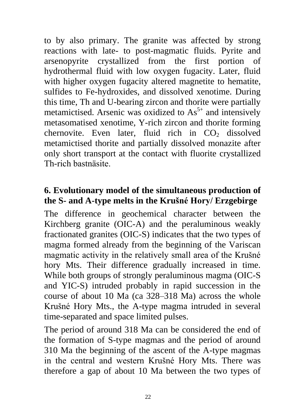to by also primary. The granite was affected by strong reactions with late- to post-magmatic fluids. Pyrite and arsenopyrite crystallized from the first portion of hydrothermal fluid with low oxygen fugacity. Later, fluid with higher oxygen fugacity altered magnetite to hematite, sulfides to Fe-hydroxides, and dissolved xenotime. During this time, Th and U-bearing zircon and thorite were partially metamictised. Arsenic was oxidized to  $As<sup>5+</sup>$  and intensively metasomatised xenotime, Y-rich zircon and thorite forming chernovite. Even later, fluid rich in  $CO<sub>2</sub>$  dissolved metamictised thorite and partially dissolved monazite after only short transport at the contact with fluorite crystallized Th-rich bastnäsite.

#### **6. Evolutionary model of the simultaneous production of the S- and A-type melts in the Krušné Hory/ Erzgebirge**

The difference in geochemical character between the Kirchberg granite (OIC-A) and the peraluminous weakly fractionated granites (OIC-S) indicates that the two types of magma formed already from the beginning of the Variscan magmatic activity in the relatively small area of the Krušné hory Mts. Their difference gradually increased in time. While both groups of strongly peraluminous magma (OIC-S and YIC-S) intruded probably in rapid succession in the course of about 10 Ma (ca 328–318 Ma) across the whole Krušné Hory Mts., the A-type magma intruded in several time-separated and space limited pulses.

The period of around 318 Ma can be considered the end of the formation of S-type magmas and the period of around 310 Ma the beginning of the ascent of the A-type magmas in the central and western Krušné Hory Mts. There was therefore a gap of about 10 Ma between the two types of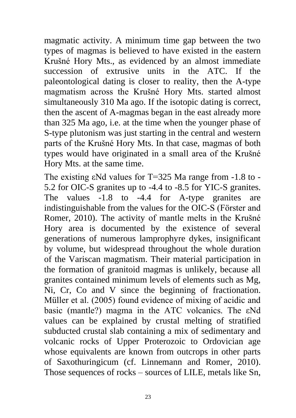magmatic activity. A minimum time gap between the two types of magmas is believed to have existed in the eastern Krušné Hory Mts., as evidenced by an almost immediate succession of extrusive units in the ATC. If the paleontological dating is closer to reality, then the A-type magmatism across the Krušné Hory Mts. started almost simultaneously 310 Ma ago. If the isotopic dating is correct, then the ascent of A-magmas began in the east already more than 325 Ma ago, i.e. at the time when the younger phase of S-type plutonism was just starting in the central and western parts of the Krušné Hory Mts. In that case, magmas of both types would have originated in a small area of the Krušné Hory Mts. at the same time.

The existing εNd values for T=325 Ma range from -1.8 to - 5.2 for OIC-S granites up to -4.4 to -8.5 for YIC-S granites. The values -1.8 to -4.4 for A-type granites are indistinguishable from the values for the OIC-S (Förster and Romer, 2010). The activity of mantle melts in the Krušné Hory area is documented by the existence of several generations of numerous lamprophyre dykes, insignificant by volume, but widespread throughout the whole duration of the Variscan magmatism. Their material participation in the formation of granitoid magmas is unlikely, because all granites contained minimum levels of elements such as Mg, Ni, Cr, Co and V since the beginning of fractionation. Müller et al. (2005) found evidence of mixing of acidic and basic (mantle?) magma in the ATC volcanics. The εNd values can be explained by crustal melting of stratified subducted crustal slab containing a mix of sedimentary and volcanic rocks of Upper Proterozoic to Ordovician age whose equivalents are known from outcrops in other parts of Saxothuringicum (cf. Linnemann and Romer, 2010). Those sequences of rocks – sources of LILE, metals like Sn,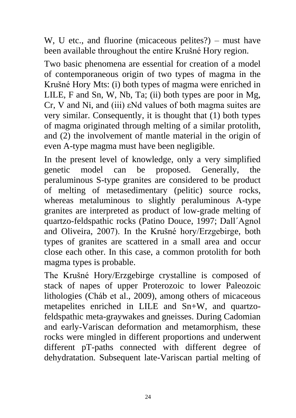W, U etc., and fluorine (micaceous pelites?) – must have been available throughout the entire Krušné Hory region.

Two basic phenomena are essential for creation of a model of contemporaneous origin of two types of magma in the Krušné Hory Mts: (i) both types of magma were enriched in LILE, F and Sn, W, Nb, Ta; (ii) both types are poor in Mg, Cr, V and Ni, and (iii) εNd values of both magma suites are very similar. Consequently, it is thought that (1) both types of magma originated through melting of a similar protolith, and (2) the involvement of mantle material in the origin of even A-type magma must have been negligible.

In the present level of knowledge, only a very simplified genetic model can be proposed. Generally, the peraluminous S-type granites are considered to be product of melting of metasedimentary (pelitic) source rocks, whereas metaluminous to slightly peraluminous A-type granites are interpreted as product of low-grade melting of quartzo-feldspathic rocks (Patino Douce, 1997; Dall´Agnol and Oliveira, 2007). In the Krušné hory/Erzgebirge, both types of granites are scattered in a small area and occur close each other. In this case, a common protolith for both magma types is probable.

The Krušné Hory/Erzgebirge crystalline is composed of stack of napes of upper Proterozoic to lower Paleozoic lithologies (Cháb et al., 2009), among others of micaceous metapelites enriched in LILE and Sn+W, and quartzofeldspathic meta-graywakes and gneisses. During Cadomian and early-Variscan deformation and metamorphism, these rocks were mingled in different proportions and underwent different pT-paths connected with different degree of dehydratation. Subsequent late-Variscan partial melting of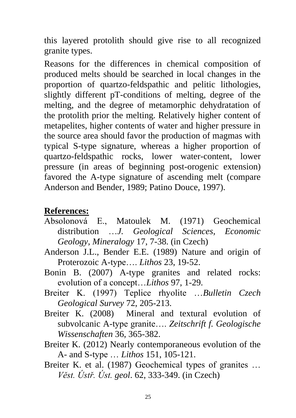this layered protolith should give rise to all recognized granite types.

Reasons for the differences in chemical composition of produced melts should be searched in local changes in the proportion of quartzo-feldspathic and pelitic lithologies, slightly different pT-conditions of melting, degree of the melting, and the degree of metamorphic dehydratation of the protolith prior the melting. Relatively higher content of metapelites, higher contents of water and higher pressure in the source area should favor the production of magmas with typical S-type signature, whereas a higher proportion of quartzo-feldspathic rocks, lower water-content, lower pressure (in areas of beginning post-orogenic extension) favored the A-type signature of ascending melt (compare Anderson and Bender, 1989; Patino Douce, 1997).

# **References:**

- Absolonová E., Matoulek M. (1971) Geochemical distribution …*J. Geological Sciences, Economic Geology, Mineralogy* 17, 7-38. (in Czech)
- Anderson J.L., Bender E.E. (1989) Nature and origin of Proterozoic A-type…. *Lithos* 23, 19-52.
- Bonin B. (2007) A-type granites and related rocks: evolution of a concept…*Lithos* 97, 1-29.
- Breiter K. (1997) Teplice rhyolite …*Bulletin Czech Geological Survey* 72, 205-213.
- Breiter K. (2008) Mineral and textural evolution of subvolcanic A-type granite…. *Zeitschrift f. Geologische Wissenschaften* 36, 365-382.
- Breiter K. (2012) Nearly contemporaneous evolution of the A- and S-type … *Lithos* 151, 105-121.
- Breiter K. et al. (1987) Geochemical types of granites ... *Věst. Ústř. Úst. geol*. 62, 333-349. (in Czech)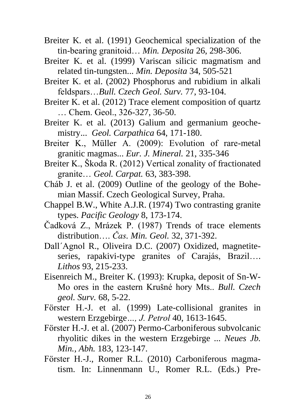- Breiter K. et al. (1991) Geochemical specialization of the tin-bearing granitoid… *Min. Deposita* 26, 298-306.
- Breiter K. et al. (1999) Variscan silicic magmatism and related tin-tungsten... *Min. Deposita* 34, 505-521
- Breiter K. et al. (2002) Phosphorus and rubidium in alkali feldspars…*Bull. Czech Geol. Surv.* 77, 93-104.
- Breiter K. et al. (2012) Trace element composition of quartz … Chem. Geol., 326-327, 36-50.
- Breiter K. et al. (2013) Galium and germanium geochemistry... *Geol. Carpathica* 64, 171-180.
- Breiter K., Müller A. (2009): Evolution of rare-metal granitic magmas... *Eur. J. Mineral.* 21, 335-346
- Breiter K., Škoda R. (2012) Vertical zonality of fractionated granite… *Geol. Carpat.* 63, 383-398.
- Cháb J. et al. (2009) Outline of the geology of the Bohemian Massif. Czech Geological Survey, Praha.
- Chappel B.W., White A.J.R. (1974) Two contrasting granite types. *Pacific Geology* 8, 173-174.
- Čadková Z., Mrázek P. (1987) Trends of trace elements distribution…. *Čas. Min. Geol.* 32, 371-392.
- Dall´Agnol R., Oliveira D.C. (2007) Oxidized, magnetiteseries, rapakivi-type granites of Carajás, Brazil…. *Lithos* 93, 215-233.
- Eisenreich M., Breiter K. (1993): Krupka, deposit of Sn-W-Mo ores in the eastern Krušné hory Mts.. *Bull. Czech geol. Surv.* 68, 5-22.
- Förster H.-J. et al. (1999) Late-collisional granites in western Erzgebirge*…, J. Petrol* 40, 1613-1645.
- Förster H.-J. et al. (2007) Permo-Carboniferous subvolcanic rhyolitic dikes in the western Erzgebirge ... *Neues Jb. Min., Abh.* 183, 123-147.
- Förster H.-J., Romer R.L. (2010) Carboniferous magmatism. In: Linnenmann U., Romer R.L. (Eds.) Pre-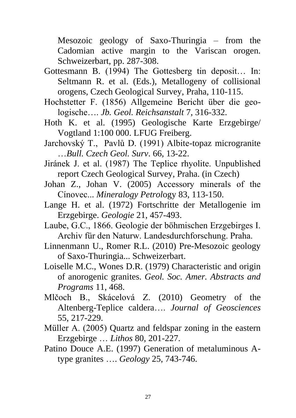Mesozoic geology of Saxo-Thuringia – from the Cadomian active margin to the Variscan orogen. Schweizerbart, pp. 287-308.

- Gottesmann B. (1994) The Gottesberg tin deposit… In: Seltmann R. et al. (Eds.), Metallogeny of collisional orogens, Czech Geological Survey, Praha, 110-115.
- Hochstetter F. (1856) Allgemeine Bericht über die geologische…. *Jb. Geol. Reichsanstalt* 7, 316-332.
- Hoth K. et al. (1995) Geologische Karte Erzgebirge/ Vogtland 1:100 000. LFUG Freiberg.
- Jarchovský T., Pavlů D. (1991) Albite-topaz microgranite …*Bull. Czech Geol. Surv*. 66, 13-22.
- Jiránek J. et al. (1987) The Teplice rhyolite. Unpublished report Czech Geological Survey, Praha. (in Czech)
- Johan Z., Johan V. (2005) Accessory minerals of the Cínovec... *Mineralogy Petrol*ogy 83, 113-150.
- Lange H. et al. (1972) Fortschritte der Metallogenie im Erzgebirge. *Geologie* 21, 457-493.
- Laube, G.C., 1866. Geologie der böhmischen Erzgebirges I. Archiv für den Naturw. Landesdurchforschung. Praha.
- Linnenmann U., Romer R.L. (2010) Pre-Mesozoic geology of Saxo-Thuringia... Schweizerbart.
- Loiselle M.C., Wones D.R. (1979) Characteristic and origin of anorogenic granites. *Geol. Soc. Amer. Abstracts and Programs* 11, 468.
- Mlčoch B., Skácelová Z. (2010) Geometry of the Altenberg-Teplice caldera…. *Journal of Geosciences*  55, 217-229.
- Müller A. (2005) Quartz and feldspar zoning in the eastern Erzgebirge … *Lithos* 80, 201-227.
- Patino Douce A.E. (1997) Generation of metaluminous Atype granites …. *Geology* 25, 743-746.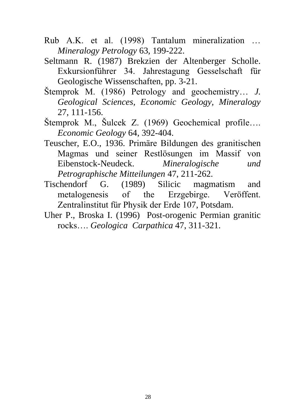- Rub A.K. et al. (1998) Tantalum mineralization … *Mineralogy Petrology* 63, 199-222.
- Seltmann R. (1987) Brekzien der Altenberger Scholle. Exkursionführer 34. Jahrestagung Gesselschaft für Geologische Wissenschaften, pp. 3-21.
- Štemprok M. (1986) Petrology and geochemistry… *J. Geological Sciences, Economic Geology, Mineralogy* 27, 111-156.
- Štemprok M., Šulcek Z. (1969) Geochemical profile…. *Economic Geology* 64, 392-404.
- Teuscher, E.O., 1936. Primäre Bildungen des granitischen Magmas und seiner Restlösungen im Massif von Eibenstock-Neudeck. *Mineralogische und Petrographische Mitteilungen* 47, 211-262.
- Tischendorf G. (1989) Silicic magmatism and metalogenesis of the Erzgebirge. Veröffent. Zentralinstitut für Physik der Erde 107, Potsdam.
- Uher P., Broska I. (1996) Post-orogenic Permian granitic rocks…. *Geologica Carpathica* 47, 311-321.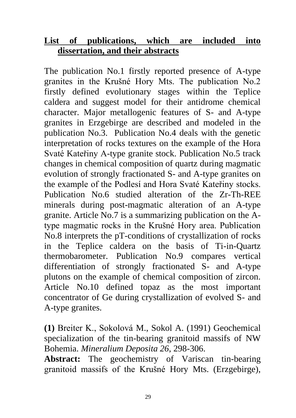#### **List of publications, which are included into dissertation, and their abstracts**

The publication No.1 firstly reported presence of A-type granites in the Krušné Hory Mts. The publication No.2 firstly defined evolutionary stages within the Teplice caldera and suggest model for their antidrome chemical character. Major metallogenic features of S- and A-type granites in Erzgebirge are described and modeled in the publication No.3. Publication No.4 deals with the genetic interpretation of rocks textures on the example of the Hora Svaté Kateřiny A-type granite stock. Publication No.5 track changes in chemical composition of quartz during magmatic evolution of strongly fractionated S- and A-type granites on the example of the Podlesí and Hora Svaté Kateřiny stocks. Publication No.6 studied alteration of the Zr-Th-REE minerals during post-magmatic alteration of an A-type granite. Article No.7 is a summarizing publication on the Atype magmatic rocks in the Krušné Hory area. Publication No.8 interprets the pT-conditions of crystallization of rocks in the Teplice caldera on the basis of Ti-in-Quartz thermobarometer. Publication No.9 compares vertical differentiation of strongly fractionated S- and A-type plutons on the example of chemical composition of zircon. Article No.10 defined topaz as the most important concentrator of Ge during crystallization of evolved S- and A-type granites.

**(1)** Breiter K., Sokolová M., Sokol A. (1991) Geochemical specialization of the tin-bearing granitoid massifs of NW Bohemia. *Mineralium Deposita 26*, 298-306.

**Abstract:** The geochemistry of Variscan tin-bearing granitoid massifs of the Krušné Hory Mts. (Erzgebirge),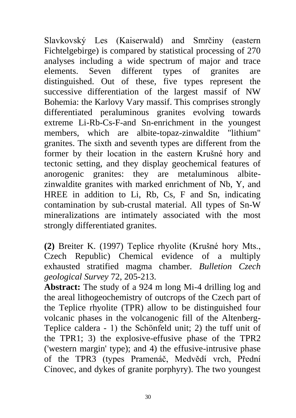Slavkovský Les (Kaiserwald) and Smrčiny (eastern Fichtelgebirge) is compared by statistical processing of 270 analyses including a wide spectrum of major and trace elements. Seven different types of granites are distinguished. Out of these, five types represent the successive differentiation of the largest massif of NW Bohemia: the Karlovy Vary massif. This comprises strongly differentiated peraluminous granites evolving towards extreme Li-Rb-Cs-F-and Sn-enrichment in the youngest members, which are albite-topaz-zinwaldite "lithium" granites. The sixth and seventh types are different from the former by their location in the eastern Krušné hory and tectonic setting, and they display geochemical features of anorogenic granites: they are metaluminous albitezinwaldite granites with marked enrichment of Nb, Y, and HREE in addition to Li, Rb, Cs, F and Sn, indicating contamination by sub-crustal material. All types of Sn-W mineralizations are intimately associated with the most strongly differentiated granites.

**(2)** Breiter K. (1997) Teplice rhyolite (Krušné hory Mts., Czech Republic) Chemical evidence of a multiply exhausted stratified magma chamber. *Bulletion Czech geological Survey* 72, 205-213.

**Abstract:** The study of a 924 m long Mi-4 drilling log and the areal lithogeochemistry of outcrops of the Czech part of the Teplice rhyolite (TPR) allow to be distinguished four volcanic phases in the volcanogenic fill of the Altenberg-Teplice caldera - 1) the Schönfeld unit; 2) the tuff unit of the TPR1; 3) the explosive-effusive phase of the TPR2 ('western margin' type); and 4) the effusive-intrusive phase of the TPR3 (types Pramenáč, Medvědí vrch, Přední Cínovec, and dykes of granite porphyry). The two youngest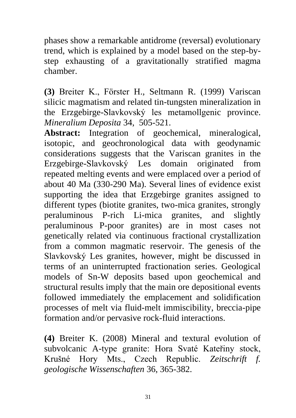phases show a remarkable antidrome (reversal) evolutionary trend, which is explained by a model based on the step-bystep exhausting of a gravitationally stratified magma chamber.

**(3)** Breiter K., Förster H., Seltmann R. (1999) Variscan silicic magmatism and related tin-tungsten mineralization in the Erzgebirge-Slavkovský les metamollgenic province. *Mineralium Deposita* 34, 505-521.

**Abstract:** Integration of geochemical, mineralogical, isotopic, and geochronological data with geodynamic considerations suggests that the Variscan granites in the Erzgebirge-Slavkovský Les domain originated from repeated melting events and were emplaced over a period of about 40 Ma (330-290 Ma). Several lines of evidence exist supporting the idea that Erzgebirge granites assigned to different types (biotite granites, two-mica granites, strongly peraluminous P-rich Li-mica granites, and slightly peraluminous P-poor granites) are in most cases not genetically related via continuous fractional crystallization from a common magmatic reservoir. The genesis of the Slavkovský Les granites, however, might be discussed in terms of an uninterrupted fractionation series. Geological models of Sn-W deposits based upon geochemical and structural results imply that the main ore depositional events followed immediately the emplacement and solidification processes of melt via fluid-melt immiscibility, breccia-pipe formation and/or pervasive rock-fluid interactions.

**(4)** Breiter K. (2008) Mineral and textural evolution of subvolcanic A-type granite: Hora Svaté Kateřiny stock, Krušné Hory Mts., Czech Republic. *Zeitschrift f. geologische Wissenschaften* 36, 365-382.

31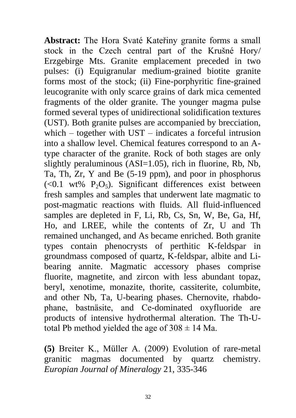**Abstract:** The Hora Svaté Kateřiny granite forms a small stock in the Czech central part of the Krušné Hory/ Erzgebirge Mts. Granite emplacement preceded in two pulses: (i) Equigranular medium-grained biotite granite forms most of the stock; (ii) Fine-porphyritic fine-grained leucogranite with only scarce grains of dark mica cemented fragments of the older granite. The younger magma pulse formed several types of unidirectional solidification textures (UST). Both granite pulses are accompanied by brecciation, which – together with UST – indicates a forceful intrusion into a shallow level. Chemical features correspond to an Atype character of the granite. Rock of both stages are only slightly peraluminous (ASI=1.05), rich in fluorine, Rb, Nb, Ta, Th, Zr, Y and Be (5-19 ppm), and poor in phosphorus  $(<0.1$  wt% P<sub>2</sub>O<sub>5</sub>). Significant differences exist between fresh samples and samples that underwent late magmatic to post-magmatic reactions with fluids. All fluid-influenced samples are depleted in F, Li, Rb, Cs, Sn, W, Be, Ga, Hf, Ho, and LREE, while the contents of Zr, U and Th remained unchanged, and As became enriched. Both granite types contain phenocrysts of perthitic K-feldspar in groundmass composed of quartz, K-feldspar, albite and Libearing annite. Magmatic accessory phases comprise fluorite, magnetite, and zircon with less abundant topaz, beryl, xenotime, monazite, thorite, cassiterite, columbite, and other Nb, Ta, U-bearing phases. Chernovite, rhabdophane, bastnäsite, and Ce-dominated oxyfluoride are products of intensive hydrothermal alteration. The Th-Utotal Pb method yielded the age of  $308 \pm 14$  Ma.

**(5)** Breiter K., Müller A. (2009) Evolution of rare-metal granitic magmas documented by quartz chemistry. *Europian Journal of Mineralogy* 21, 335-346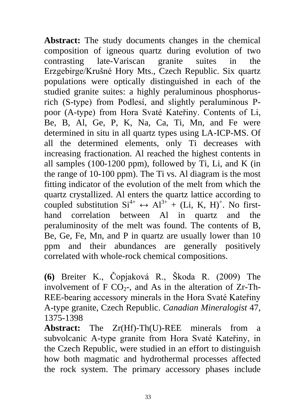**Abstract:** The study documents changes in the chemical composition of igneous quartz during evolution of two contrasting late-Variscan granite suites in the Erzgebirge/Krušné Hory Mts., Czech Republic. Six quartz populations were optically distinguished in each of the studied granite suites: a highly peraluminous phosphorusrich (S-type) from Podlesí, and slightly peraluminous Ppoor (A-type) from Hora Svaté Kateřiny. Contents of Li, Be, B, Al, Ge, P, K, Na, Ca, Ti, Mn, and Fe were determined in situ in all quartz types using LA-ICP-MS. Of all the determined elements, only Ti decreases with increasing fractionation. Al reached the highest contents in all samples (100-1200 ppm), followed by Ti, Li, and K (in the range of 10-100 ppm). The Ti vs. Al diagram is the most fitting indicator of the evolution of the melt from which the quartz crystallized. Al enters the quartz lattice according to coupled substitution  $Si^{4+} \leftrightarrow Al^{3+} + (Li, K, H)^+$ . No firsthand correlation between Al in quartz and the peraluminosity of the melt was found. The contents of B, Be, Ge, Fe, Mn, and P in quartz are usually lower than 10 ppm and their abundances are generally positively correlated with whole-rock chemical compositions.

**(6)** Breiter K., Čopjaková R., Škoda R. (2009) The involvement of F  $CO<sub>2</sub>$ -, and As in the alteration of Zr-Th-REE-bearing accessory minerals in the Hora Svaté Kateřiny A-type granite, Czech Republic. *Canadian Mineralogist* 47, 1375-1398

**Abstract:** The Zr(Hf)-Th(U)-REE minerals from a subvolcanic A-type granite from Hora Svaté Kateřiny, in the Czech Republic, were studied in an effort to distinguish how both magmatic and hydrothermal processes affected the rock system. The primary accessory phases include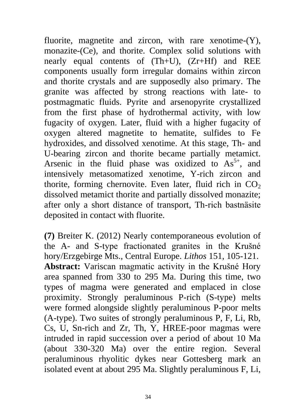fluorite, magnetite and zircon, with rare xenotime-(Y), monazite-(Ce), and thorite. Complex solid solutions with nearly equal contents of (Th+U), (Zr+Hf) and REE components usually form irregular domains within zircon and thorite crystals and are supposedly also primary. The granite was affected by strong reactions with late- to postmagmatic fluids. Pyrite and arsenopyrite crystallized from the first phase of hydrothermal activity, with low fugacity of oxygen. Later, fluid with a higher fugacity of oxygen altered magnetite to hematite, sulfides to Fe hydroxides, and dissolved xenotime. At this stage, Th- and U-bearing zircon and thorite became partially metamict. Arsenic in the fluid phase was oxidized to  $As<sup>5+</sup>$ , and intensively metasomatized xenotime, Y-rich zircon and thorite, forming chernovite. Even later, fluid rich in  $CO<sub>2</sub>$ dissolved metamict thorite and partially dissolved monazite; after only a short distance of transport, Th-rich bastnäsite deposited in contact with fluorite.

**(7)** Breiter K. (2012) Nearly contemporaneous evolution of the A- and S-type fractionated granites in the Krušné hory/Erzgebirge Mts., Central Europe. *Lithos* 151, 105-121. **Abstract:** Variscan magmatic activity in the Krušné Hory area spanned from 330 to 295 Ma. During this time, two types of magma were generated and emplaced in close proximity. Strongly peraluminous P-rich (S-type) melts were formed alongside slightly peraluminous P-poor melts (A-type). Two suites of strongly peraluminous P, F, Li, Rb, Cs, U, Sn-rich and Zr, Th, Y, HREE-poor magmas were intruded in rapid succession over a period of about 10 Ma (about 330-320 Ma) over the entire region. Several peraluminous rhyolitic dykes near Gottesberg mark an isolated event at about 295 Ma. Slightly peraluminous F, Li,

34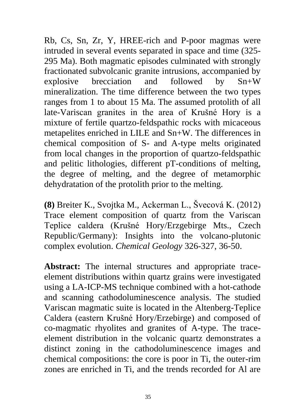Rb, Cs, Sn, Zr, Y, HREE-rich and P-poor magmas were intruded in several events separated in space and time (325- 295 Ma). Both magmatic episodes culminated with strongly fractionated subvolcanic granite intrusions, accompanied by explosive brecciation and followed by Sn+W mineralization. The time difference between the two types ranges from 1 to about 15 Ma. The assumed protolith of all late-Variscan granites in the area of Krušné Hory is a mixture of fertile quartzo-feldspathic rocks with micaceous metapelites enriched in LILE and Sn+W. The differences in chemical composition of S- and A-type melts originated from local changes in the proportion of quartzo-feldspathic and pelitic lithologies, different pT-conditions of melting, the degree of melting, and the degree of metamorphic dehydratation of the protolith prior to the melting.

**(8)** Breiter K., Svojtka M., Ackerman L., Švecová K. (2012) Trace element composition of quartz from the Variscan Teplice caldera (Krušné Hory/Erzgebirge Mts., Czech Republic/Germany): Insights into the volcano-plutonic complex evolution. *Chemical Geology* 326-327, 36-50.

**Abstract:** The internal structures and appropriate traceelement distributions within quartz grains were investigated using a LA-ICP-MS technique combined with a hot-cathode and scanning cathodoluminescence analysis. The studied Variscan magmatic suite is located in the Altenberg-Teplice Caldera (eastern Krušné Hory/Erzebirge) and composed of co-magmatic rhyolites and granites of A-type. The traceelement distribution in the volcanic quartz demonstrates a distinct zoning in the cathodoluminescence images and chemical compositions: the core is poor in Ti, the outer-rim zones are enriched in Ti, and the trends recorded for Al are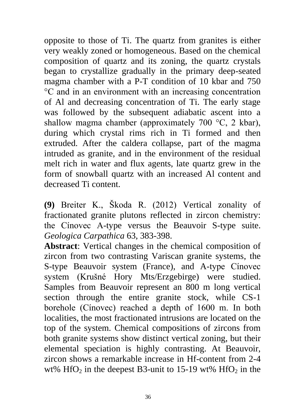opposite to those of Ti. The quartz from granites is either very weakly zoned or homogeneous. Based on the chemical composition of quartz and its zoning, the quartz crystals began to crystallize gradually in the primary deep-seated magma chamber with a P-T condition of 10 kbar and 750 °C and in an environment with an increasing concentration of Al and decreasing concentration of Ti. The early stage was followed by the subsequent adiabatic ascent into a shallow magma chamber (approximately 700 °C, 2 kbar), during which crystal rims rich in Ti formed and then extruded. After the caldera collapse, part of the magma intruded as granite, and in the environment of the residual melt rich in water and flux agents, late quartz grew in the form of snowball quartz with an increased Al content and decreased Ti content.

**(9)** Breiter K., Škoda R. (2012) Vertical zonality of fractionated granite plutons reflected in zircon chemistry: the Cínovec A-type versus the Beauvoir S-type suite. *Geologica Carpathica* 63, 383-398.

**Abstract**: Vertical changes in the chemical composition of zircon from two contrasting Variscan granite systems, the S-type Beauvoir system (France), and A-type Cínovec system (Krušné Hory Mts/Erzgebirge) were studied. Samples from Beauvoir represent an 800 m long vertical section through the entire granite stock, while CS-1 borehole (Cínovec) reached a depth of 1600 m. In both localities, the most fractionated intrusions are located on the top of the system. Chemical compositions of zircons from both granite systems show distinct vertical zoning, but their elemental speciation is highly contrasting. At Beauvoir, zircon shows a remarkable increase in Hf-content from 2-4 wt%  $HfO<sub>2</sub>$  in the deepest B3-unit to 15-19 wt%  $HfO<sub>2</sub>$  in the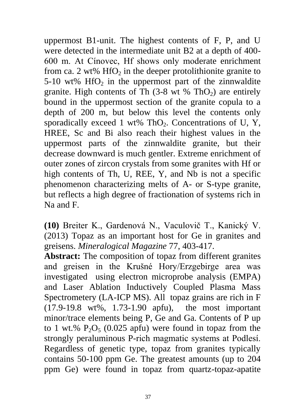uppermost B1-unit. The highest contents of F, P, and U were detected in the intermediate unit B2 at a depth of 400- 600 m. At Cínovec, Hf shows only moderate enrichment from ca. 2 wt%  $HfO<sub>2</sub>$  in the deeper protolithionite granite to 5-10 wt%  $HfO<sub>2</sub>$  in the uppermost part of the zinnwaldite granite. High contents of Th  $(3-8 \text{ wt } %)$  ThO<sub>2</sub>) are entirely bound in the uppermost section of the granite copula to a depth of 200 m, but below this level the contents only sporadically exceed 1 wt%  $ThO<sub>2</sub>$ . Concentrations of U, Y, HREE, Sc and Bi also reach their highest values in the uppermost parts of the zinnwaldite granite, but their decrease downward is much gentler. Extreme enrichment of outer zones of zircon crystals from some granites with Hf or high contents of Th, U, REE, Y, and Nb is not a specific phenomenon characterizing melts of A- or S-type granite, but reflects a high degree of fractionation of systems rich in Na and F.

**(10)** Breiter K., Gardenová N., Vaculovič T., Kanický V. (2013) Topaz as an important host for Ge in granites and greisens. *Mineralogical Magazine* 77, 403-417.

**Abstract:** The composition of topaz from different granites and greisen in the Krušné Hory/Erzgebirge area was investigated using electron microprobe analysis (EMPA) and Laser Ablation Inductively Coupled Plasma Mass Spectrometery (LA-ICP MS). All topaz grains are rich in F (17.9-19.8 wt%, 1.73-1.90 apfu), the most important minor/trace elements being P, Ge and Ga. Contents of P up to 1 wt.%  $P_2O_5$  (0.025 apfu) were found in topaz from the strongly peraluminous P-rich magmatic systems at Podlesí. Regardless of genetic type, topaz from granites typically contains 50-100 ppm Ge. The greatest amounts (up to 204 ppm Ge) were found in topaz from quartz-topaz-apatite